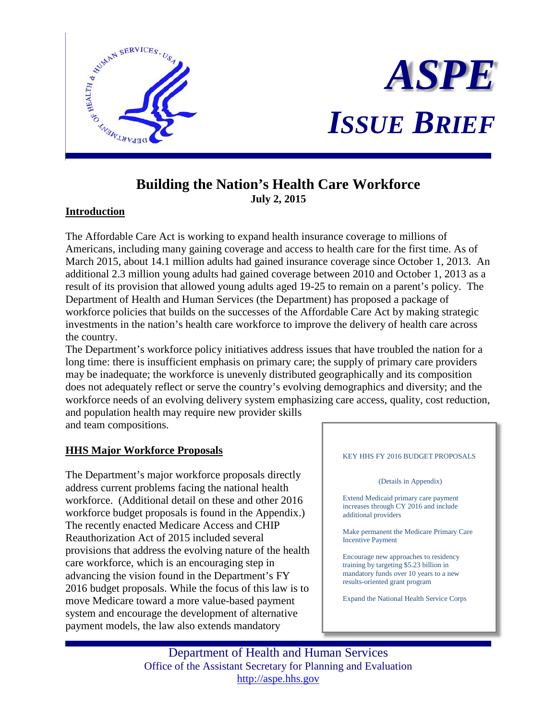



# **Building the Nation's Health Care Workforce July 2, 2015**

## **Introduction**

The Affordable Care Act is working to expand health insurance coverage to millions of Americans, including many gaining coverage and access to health care for the first time. As of March 2015, about 14.1 million adults had gained insurance coverage since October 1, 2013. An additional 2.3 million young adults had gained coverage between 2010 and October 1, 2013 as a result of its provision that allowed young adults aged 19-25 to remain on a parent's policy. The Department of Health and Human Services (the Department) has proposed a package of workforce policies that builds on the successes of the Affordable Care Act by making strategic investments in the nation's health care workforce to improve the delivery of health care across the country.

The Department's workforce policy initiatives address issues that have troubled the nation for a long time: there is insufficient emphasis on primary care; the supply of primary care providers may be inadequate; the workforce is unevenly distributed geographically and its composition does not adequately reflect or serve the country's evolving demographics and diversity; and the workforce needs of an evolving delivery system emphasizing care access, quality, cost reduction, and population health may require new provider skills

and team compositions.

## **HHS Major Workforce Proposals**

The Department's major workforce proposals directly address current problems facing the national health workforce. (Additional detail on these and other 2016 workforce budget proposals is found in the Appendix.) The recently enacted Medicare Access and CHIP Reauthorization Act of 2015 included several provisions that address the evolving nature of the health care workforce, which is an encouraging step in advancing the vision found in the Department's FY 2016 budget proposals. While the focus of this law is to move Medicare toward a more value-based payment system and encourage the development of alternative payment models, the law also extends mandatory



Department of Health and Human Services Office of the Assistant Secretary for Planning and Evaluation [http://aspe.hhs.gov](http://aspe.hhs.gov/)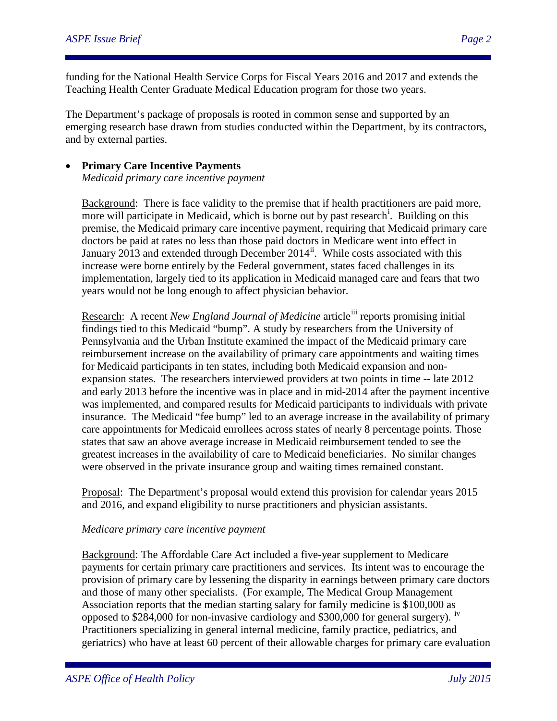funding for the National Health Service Corps for Fiscal Years 2016 and 2017 and extends the Teaching Health Center Graduate Medical Education program for those two years.

The Department's package of proposals is rooted in common sense and supported by an emerging research base drawn from studies conducted within the Department, by its contractors, and by external parties.

• **Primary Care Incentive Payments** *Medicaid primary care incentive payment*

Background: There is face validity to the premise that if health practitioners are paid more, more w[i](#page-2-0)ll participate in Medicaid, which is borne out by past research<sup>i</sup>. Building on this premise, the Medicaid primary care incentive payment, requiring that Medicaid primary care doctors be paid at rates no less than those paid doctors in Medicare went into effect in January 2013 and extended through December  $2014^{\text{ii}}$ . While costs associated with this increase were borne entirely by the Federal government, states faced challenges in its implementation, largely tied to its application in Medicaid managed care and fears that two years would not be long enough to affect physician behavior.

Research: A recent *New England Journal of Medicine* article<sup>[iii](#page-2-2)</sup> reports promising initial findings tied to this Medicaid "bump". A study by researchers from the University of Pennsylvania and the Urban Institute examined the impact of the Medicaid primary care reimbursement increase on the availability of primary care appointments and waiting times for Medicaid participants in ten states, including both Medicaid expansion and nonexpansion states. The researchers interviewed providers at two points in time -- late 2012 and early 2013 before the incentive was in place and in mid-2014 after the payment incentive was implemented, and compared results for Medicaid participants to individuals with private insurance. The Medicaid "fee bump" led to an average increase in the availability of primary care appointments for Medicaid enrollees across states of nearly 8 percentage points. Those states that saw an above average increase in Medicaid reimbursement tended to see the greatest increases in the availability of care to Medicaid beneficiaries. No similar changes were observed in the private insurance group and waiting times remained constant.

Proposal: The Department's proposal would extend this provision for calendar years 2015 and 2016, and expand eligibility to nurse practitioners and physician assistants.

## *Medicare primary care incentive payment*

Background: The Affordable Care Act included a five-year supplement to Medicare payments for certain primary care practitioners and services. Its intent was to encourage the provision of primary care by lessening the disparity in earnings between primary care doctors and those of many other specialists. (For example, The Medical Group Management Association reports that the median starting salary for family medicine is \$100,000 as opposed to \$284,000 for non-invasive cardiology and \$300,000 for general surgery).  $\frac{iv}{ }$ Practitioners specializing in general internal medicine, family practice, pediatrics, and geriatrics) who have at least 60 percent of their allowable charges for primary care evaluation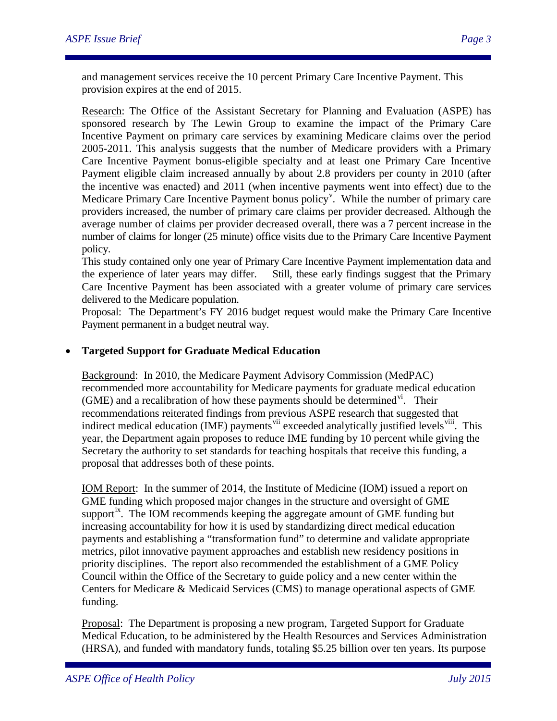<span id="page-2-0"></span>and management services receive the 10 percent Primary Care Incentive Payment. This provision expires at the end of 2015.

<span id="page-2-2"></span><span id="page-2-1"></span>Research: The Office of the Assistant Secretary for Planning and Evaluation (ASPE) has sponsored research by The Lewin Group to examine the impact of the Primary Care Incentive Payment on primary care services by examining Medicare claims over the period 2005-2011. This analysis suggests that the number of Medicare providers with a Primary Care Incentive Payment bonus-eligible specialty and at least one Primary Care Incentive Payment eligible claim increased annually by about 2.8 providers per county in 2010 (after the incentive was enacted) and 2011 (when incentive payments went into effect) due to the Medicare Primary Care Incenti[v](#page-3-0)e Payment bonus policy<sup>v</sup>. While the number of primary care providers increased, the number of primary care claims per provider decreased. Although the average number of claims per provider decreased overall, there was a 7 percent increase in the number of claims for longer (25 minute) office visits due to the Primary Care Incentive Payment policy.

<span id="page-2-3"></span>This study contained only one year of Primary Care Incentive Payment implementation data and the experience of later years may differ. Still, these early findings suggest that the Primary Care Incentive Payment has been associated with a greater volume of primary care services delivered to the Medicare population.

Proposal: The Department's FY 2016 budget request would make the Primary Care Incentive Payment permanent in a budget neutral way.

## • **Targeted Support for Graduate Medical Education**

Background: In 2010, the Medicare Payment Advisory Commission (MedPAC) recommended more accountability for Medicare payments for graduate medical education (GME) and a recalibration of how these payments should be determined  $\overline{v}$ <sup>i</sup>. Their recommendations reiterated findings from previous ASPE research that suggested that indirect medical education (IME) payments<sup>[vii](#page-3-2)</sup> exceeded analytically justified levels<sup>viii</sup>. This year, the Department again proposes to reduce IME funding by 10 percent while giving the Secretary the authority to set standards for teaching hospitals that receive this funding, a proposal that addresses both of these points.

IOM Report: In the summer of 2014, the Institute of Medicine (IOM) issued a report on GME funding which proposed major changes in the structure and oversight of GME support<sup>18</sup>. The IOM recommends keeping the aggregate amount of GME funding but increasing accountability for how it is used by standardizing direct medical education payments and establishing a "transformation fund" to determine and validate appropriate metrics, pilot innovative payment approaches and establish new residency positions in priority disciplines. The report also recommended the establishment of a GME Policy Council within the Office of the Secretary to guide policy and a new center within the Centers for Medicare & Medicaid Services (CMS) to manage operational aspects of GME funding.

Proposal: The Department is proposing a new program, Targeted Support for Graduate Medical Education, to be administered by the Health Resources and Services Administration (HRSA), and funded with mandatory funds, totaling \$5.25 billion over ten years. Its purpose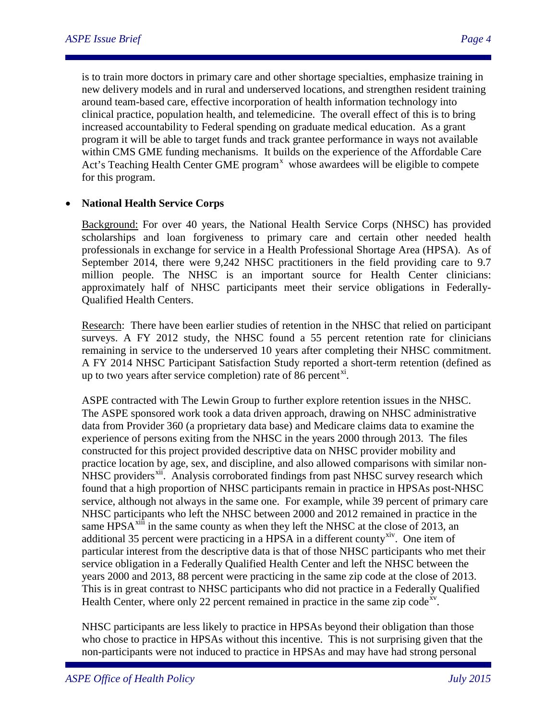is to train more doctors in primary care and other shortage specialties, emphasize training in new delivery models and in rural and underserved locations, and strengthen resident training around team-based care, effective incorporation of health information technology into clinical practice, population health, and telemedicine. The overall effect of this is to bring increased accountability to Federal spending on graduate medical education. As a grant program it will be able to target funds and track grantee performance in ways not available within CMS GME funding mechanisms. It builds on the experience of the Affordable Care Act's Teaching Health Center GME program<sup>[x](#page-4-0)</sup> whose awardees will be eligible to compete for this program.

#### <span id="page-3-1"></span><span id="page-3-0"></span>• **National Health Service Corps**

Background: For over 40 years, the National Health Service Corps (NHSC) has provided scholarships and loan forgiveness to primary care and certain other needed health professionals in exchange for service in a Health Professional Shortage Area (HPSA). As of September 2014, there were 9,242 NHSC practitioners in the field providing care to 9.7 million people. The NHSC is an important source for Health Center clinicians: approximately half of NHSC participants meet their service obligations in Federally-Qualified Health Centers.

<span id="page-3-4"></span><span id="page-3-3"></span><span id="page-3-2"></span>Research: There have been earlier studies of retention in the NHSC that relied on participant surveys. A FY 2012 study, the NHSC found a 55 percent retention rate for clinicians remaining in service to the underserved 10 years after completing their NHSC commitment. A FY 2014 NHSC Participant Satisfaction Study reported a short-term retention (defined as up to two years after service completion) rate of 86 percent $^{\text{xi}}$ .

ASPE contracted with The Lewin Group to further explore retention issues in the NHSC. The ASPE sponsored work took a data driven approach, drawing on NHSC administrative data from Provider 360 (a proprietary data base) and Medicare claims data to examine the experience of persons exiting from the NHSC in the years 2000 through 2013. The files constructed for this project provided descriptive data on NHSC provider mobility and practice location by age, sex, and discipline, and also allowed comparisons with similar nonNHSC providers<sup>[xii](#page-4-2)</sup>. Analysis corroborated findings from past NHSC survey research which found that a high proportion of NHSC participants remain in practice in HPSAs post-NHSC service, although not always in the same one. For example, while 39 percent of primary care NHSC participants who left the NHSC between 2000 and 2012 remained in practice in the same HPS $A^{xiii}$  $A^{xiii}$  $A^{xiii}$  in the same county as when they left the NHSC at the close of 2013, an additional 35 percent were practicing in a HPSA in a different county<sup>[xiv](#page-4-4)</sup>. One item of particular interest from the descriptive data is that of those NHSC participants who met their service obligation in a Federally Qualified Health Center and left the NHSC between the years 2000 and 2013, 88 percent were practicing in the same zip code at the close of 2013. This is in great contrast to NHSC participants who did not practice in a Federally Qualified Health Center, where only 22 percent remained in practice in the same zip code<sup>xy</sup>.

NHSC participants are less likely to practice in HPSAs beyond their obligation than those who chose to practice in HPSAs without this incentive. This is not surprising given that the non-participants were not induced to practice in HPSAs and may have had strong personal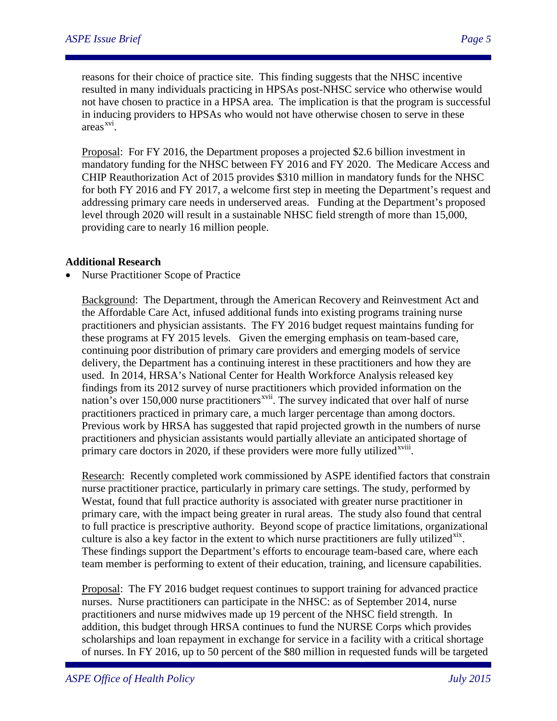reasons for their choice of practice site. This finding suggests that the NHSC incentive resulted in many individuals practicing in HPSAs post-NHSC service who otherwise would not have chosen to practice in a HPSA area. The implication is that the program is successful in inducing providers to HPSAs who would not have otherwise chosen to serve in these areas<sup>[xvi](#page-5-0)</sup>.

Proposal: For FY 2016, the Department proposes a projected \$2.6 billion investment in mandatory funding for the NHSC between FY 2016 and FY 2020. The Medicare Access and CHIP Reauthorization Act of 2015 provides \$310 million in mandatory funds for the NHSC for both FY 2016 and FY 2017, a welcome first step in meeting the Department's request and addressing primary care needs in underserved areas. Funding at the Department's proposed level through 2020 will result in a sustainable NHSC field strength of more than 15,000, providing care to nearly 16 million people.

#### **Additional Research**

• Nurse Practitioner Scope of Practice

<span id="page-4-1"></span><span id="page-4-0"></span>Background: The Department, through the American Recovery and Reinvestment Act and the Affordable Care Act, infused additional funds into existing programs training nurse practitioners and physician assistants. The FY 2016 budget request maintains funding for these programs at FY 2015 levels. Given the emerging emphasis on team-based care, continuing poor distribution of primary care providers and emerging models of service delivery, the Department has a continuing interest in these practitioners and how they are used. In 2014, HRSA's National Center for Health Workforce Analysis released key findings from its 2012 survey of nurse practitioners which provided information on the nation's over 150,000 nurse practitioners<sup>[xvii](#page-5-1)</sup>. The survey indicated that over half of nurse primary care doctors in 2020, if these providers were more fully utilized<sup>xviii</sup>[.](#page-5-2) practitioners practiced in primary care, a much larger percentage than among doctors. Previous work by HRSA has suggested that rapid projected growth in the numbers of nurse practitioners and physician assistants would partially alleviate an anticipated shortage of

<span id="page-4-5"></span><span id="page-4-4"></span><span id="page-4-3"></span><span id="page-4-2"></span>Research: Recently completed work commissioned by ASPE identified factors that constrain nurse practitioner practice, particularly in primary care settings. The study, performed by Westat, found that full practice authority is associated with greater nurse practitioner in primary care, with the impact being greater in rural areas. The study also found that central to full practice is prescriptive authority. Beyond scope of practice limitations, organizational culture is also a key factor in the extent to which nurse practitioners are fully utilized $<sup>xx</sup>$ .</sup> These findings support the Department's efforts to encourage team-based care, where each team member is performing to extent of their education, training, and licensure capabilities.

Proposal: The FY 2016 budget request continues to support training for advanced practice nurses. Nurse practitioners can participate in the NHSC: as of September 2014, nurse practitioners and nurse midwives made up 19 percent of the NHSC field strength. In addition, this budget through HRSA continues to fund the NURSE Corps which provides scholarships and loan repayment in exchange for service in a facility with a critical shortage of nurses. In FY 2016, up to 50 percent of the \$80 million in requested funds will be targeted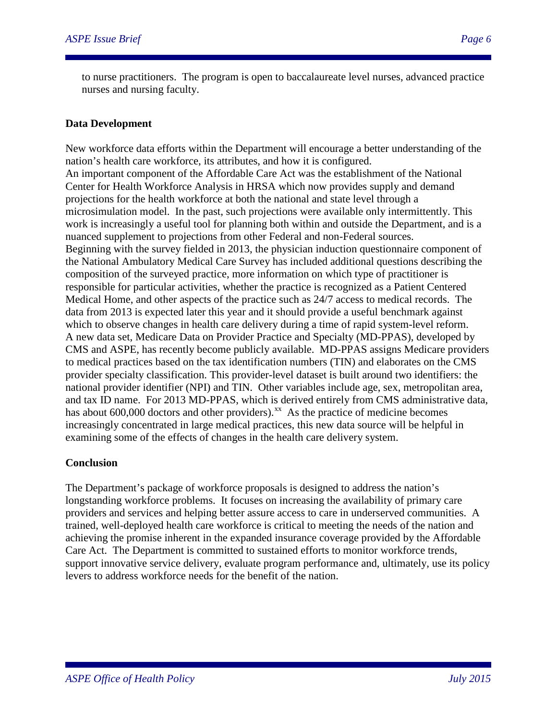to nurse practitioners. The program is open to baccalaureate level nurses, advanced practice nurses and nursing faculty.

## **Data Development**

New workforce data efforts within the Department will encourage a better understanding of the nation's health care workforce, its attributes, and how it is configured. An important component of the Affordable Care Act was the establishment of the National Center for Health Workforce Analysis in HRSA which now provides supply and demand projections for the health workforce at both the national and state level through a microsimulation model. In the past, such projections were available only intermittently. This work is increasingly a useful tool for planning both within and outside the Department, and is a nuanced supplement to projections from other Federal and non-Federal sources. Beginning with the survey fielded in 2013, the physician induction questionnaire component of the National Ambulatory Medical Care Survey has included additional questions describing the composition of the surveyed practice, more information on which type of practitioner is responsible for particular activities, whether the practice is recognized as a Patient Centered Medical Home, and other aspects of the practice such as 24/7 access to medical records. The data from 2013 is expected later this year and it should provide a useful benchmark against which to observe changes in health care delivery during a time of rapid system-level reform. A new data set, Medicare Data on Provider Practice and Specialty (MD-PPAS), developed by CMS and ASPE, has recently become publicly available. MD-PPAS assigns Medicare providers to medical practices based on the tax identification numbers (TIN) and elaborates on the CMS provider specialty classification. This provider-level dataset is built around two identifiers: the national provider identifier (NPI) and TIN. Other variables include age, sex, metropolitan area, and tax ID name. For 2013 MD-PPAS, which is derived entirely from CMS administrative data, has about 600,000 doctors and other providers).<sup>xx</sup> As the practice of medicine becomes increasingly concentrated in large medical practices, this new data source will be helpful in examining some of the effects of changes in the health care delivery system.

#### **Conclusion**

<span id="page-5-3"></span><span id="page-5-2"></span><span id="page-5-1"></span><span id="page-5-0"></span>The Department's package of workforce proposals is designed to address the nation's longstanding workforce problems. It focuses on increasing the availability of primary care providers and services and helping better assure access to care in underserved communities. A trained, well-deployed health care workforce is critical to meeting the needs of the nation and achieving the promise inherent in the expanded insurance coverage provided by the Affordable Care Act. The Department is committed to sustained efforts to monitor workforce trends, support innovative service delivery, evaluate program performance and, ultimately, use its policy levers to address workforce needs for the benefit of the nation.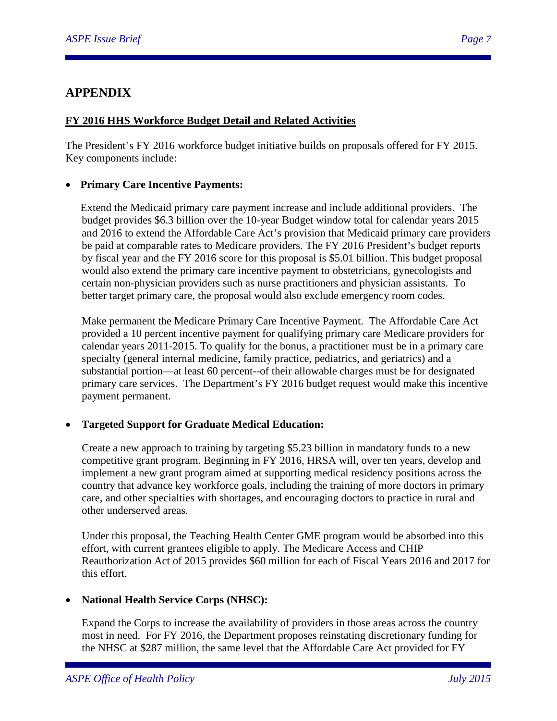## **APPENDIX**

## **FY 2016 HHS Workforce Budget Detail and Related Activities**

The President's FY 2016 workforce budget initiative builds on proposals offered for FY 2015. Key components include:

## • **Primary Care Incentive Payments:**

Extend the Medicaid primary care payment increase and include additional providers. The budget provides \$6.3 billion over the 10-year Budget window total for calendar years 2015 and 2016 to extend the Affordable Care Act's provision that Medicaid primary care providers be paid at comparable rates to Medicare providers. The FY 2016 President's budget reports by fiscal year and the FY 2016 score for this proposal is \$5.01 billion. This budget proposal would also extend the primary care incentive payment to obstetricians, gynecologists and certain non-physician providers such as nurse practitioners and physician assistants. To better target primary care, the proposal would also exclude emergency room codes.

Make permanent the Medicare Primary Care Incentive Payment. The Affordable Care Act provided a 10 percent incentive payment for qualifying primary care Medicare providers for calendar years 2011-2015. To qualify for the bonus, a practitioner must be in a primary care specialty (general internal medicine, family practice, pediatrics, and geriatrics) and a substantial portion—at least 60 percent--of their allowable charges must be for designated primary care services. The Department's FY 2016 budget request would make this incentive payment permanent.

## • **Targeted Support for Graduate Medical Education:**

Create a new approach to training by targeting \$5.23 billion in mandatory funds to a new competitive grant program. Beginning in FY 2016, HRSA will, over ten years, develop and implement a new grant program aimed at supporting medical residency positions across the country that advance key workforce goals, including the training of more doctors in primary care, and other specialties with shortages, and encouraging doctors to practice in rural and other underserved areas.

Under this proposal, the Teaching Health Center GME program would be absorbed into this effort, with current grantees eligible to apply. The Medicare Access and CHIP Reauthorization Act of 2015 provides \$60 million for each of Fiscal Years 2016 and 2017 for this effort.

## <span id="page-6-0"></span>• **National Health Service Corps (NHSC):**

Expand the Corps to increase the availability of providers in those areas across the country most in need. For FY 2016, the Department proposes reinstating discretionary funding for the NHSC at \$287 million, the same level that the Affordable Care Act provided for FY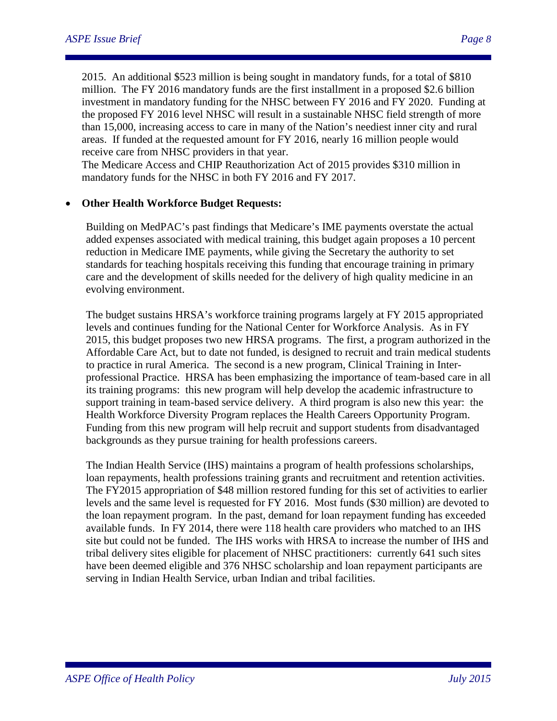2015. An additional \$523 million is being sought in mandatory funds, for a total of \$810 million. The FY 2016 mandatory funds are the first installment in a proposed \$2.6 billion investment in mandatory funding for the NHSC between FY 2016 and FY 2020. Funding at the proposed FY 2016 level NHSC will result in a sustainable NHSC field strength of more than 15,000, increasing access to care in many of the Nation's neediest inner city and rural areas. If funded at the requested amount for FY 2016, nearly 16 million people would receive care from NHSC providers in that year.

The Medicare Access and CHIP Reauthorization Act of 2015 provides \$310 million in mandatory funds for the NHSC in both FY 2016 and FY 2017.

## • **Other Health Workforce Budget Requests:**

Building on MedPAC's past findings that Medicare's IME payments overstate the actual added expenses associated with medical training, this budget again proposes a 10 percent reduction in Medicare IME payments, while giving the Secretary the authority to set standards for teaching hospitals receiving this funding that encourage training in primary care and the development of skills needed for the delivery of high quality medicine in an evolving environment.

The budget sustains HRSA's workforce training programs largely at FY 2015 appropriated levels and continues funding for the National Center for Workforce Analysis. As in FY 2015, this budget proposes two new HRSA programs. The first, a program authorized in the Affordable Care Act, but to date not funded, is designed to recruit and train medical students to practice in rural America. The second is a new program, Clinical Training in Interprofessional Practice. HRSA has been emphasizing the importance of team-based care in all its training programs: this new program will help develop the academic infrastructure to support training in team-based service delivery. A third program is also new this year: the Health Workforce Diversity Program replaces the Health Careers Opportunity Program. Funding from this new program will help recruit and support students from disadvantaged backgrounds as they pursue training for health professions careers.

The Indian Health Service (IHS) maintains a program of health professions scholarships, loan repayments, health professions training grants and recruitment and retention activities. The FY2015 appropriation of \$48 million restored funding for this set of activities to earlier levels and the same level is requested for FY 2016. Most funds (\$30 million) are devoted to the loan repayment program. In the past, demand for loan repayment funding has exceeded available funds. In FY 2014, there were 118 health care providers who matched to an IHS site but could not be funded. The IHS works with HRSA to increase the number of IHS and tribal delivery sites eligible for placement of NHSC practitioners: currently 641 such sites have been deemed eligible and 376 NHSC scholarship and loan repayment participants are serving in Indian Health Service, urban Indian and tribal facilities.